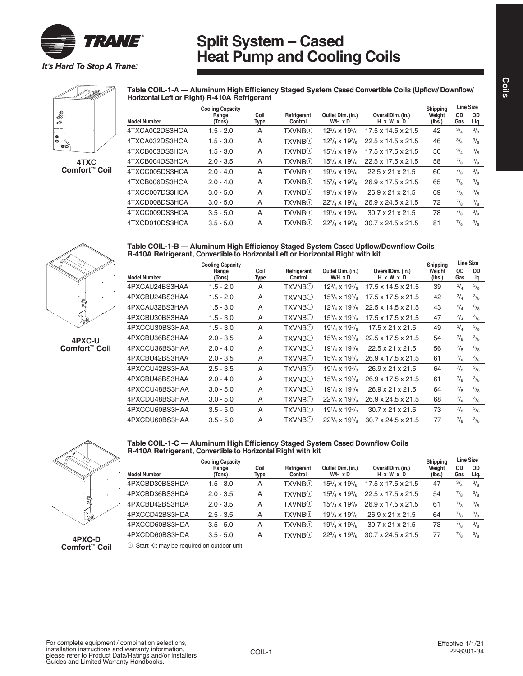

### **Split System – Cased Heat Pump and Cooling Coils**

**Table COIL-1-A — Aluminum High Efficiency Staged System Cased Convertible Coils (Upflow/ Downflow/** 

39 Comfort \* con 8

**4TXC Comfort™ Coil** 





**4PXC-U Comfort™ Coil** 

| Table COIL-1-B — Aluminum High Efficiency Staged System Cased Upflow/Downflow Coils |  |
|-------------------------------------------------------------------------------------|--|
| R-410A Refrigerant, Convertible to Horizontal Left or Horizontal Right with kit     |  |

|                     | <b>Cooling Capacity</b> |                     |                             |                                     |                                | Shipping         |                  | Line Size     |
|---------------------|-------------------------|---------------------|-----------------------------|-------------------------------------|--------------------------------|------------------|------------------|---------------|
| <b>Model Number</b> | Range<br>(Tons)         | Coil<br><b>Type</b> | Refrigerant<br>Control      | Outlet Dim. (in.)<br>$W/H \times D$ | OverallDim. (in.)<br>H x W x D | Weight<br>(lbs.) | <b>OD</b><br>Gas | OD<br>Liq.    |
| 4PXCAU24BS3HAA      | $1.5 - 2.0$             | A                   | <b>TXVNB</b> <sup>O</sup>   | $12^{3}/_{4} \times 19^{3}/_{8}$    | $17.5 \times 14.5 \times 21.5$ | 39               | $^{3}/_{4}$      | $\frac{3}{8}$ |
| 4PXCBU24BS3HAA      | $1.5 - 2.0$             | A                   | <b>TXVNB</b> <sup>O</sup>   | $15^{3}/_{4}$ x $19^{3}/_{8}$       | $17.5 \times 17.5 \times 21.5$ | 42               | $^{3/4}$         | $\frac{3}{8}$ |
| 4PXCAU32BS3HAA      | $1.5 - 3.0$             | A                   | TXVNB①                      | $12^{3}/_{4} \times 19^{3}/_{8}$    | $22.5 \times 14.5 \times 21.5$ | 43               | $^{3}/_{4}$      | $\frac{3}{8}$ |
| 4PXCBU30BS3HAA      | $1.5 - 3.0$             | A                   | <b>TXVNB</b> <sup>(1)</sup> | $15^{3}/_{4}$ x $19^{3}/_{8}$       | $17.5 \times 17.5 \times 21.5$ | 47               | $^{3}/_{4}$      | $\frac{3}{8}$ |
| 4PXCCU30BS3HAA      | $1.5 - 3.0$             | A                   | TXVNB①                      | $19^{1}/_{4}$ x $19^{3}/_{8}$       | 17.5 x 21 x 21.5               | 49               | $^{3}/_{4}$      | $\frac{3}{8}$ |
| 4PXCBU36BS3HAA      | $2.0 - 3.5$             | A                   | <b>TXVNB</b> <sup>(1)</sup> | $15^{3}/_{4}$ x $19^{3}/_{8}$       | 22.5 x 17.5 x 21.5             | 54               | $^{7}/_8$        | $\frac{3}{8}$ |
| 4PXCCU36BS3HAA      | $2.0 - 4.0$             | A                   | <b>TXVNB</b> <sup>(1)</sup> | $19^{1}/_{4}$ x $19^{3}/_{8}$       | $22.5 \times 21 \times 21.5$   | 56               | $^{7}/_8$        | $\frac{3}{8}$ |
| 4PXCBU42BS3HAA      | $2.0 - 3.5$             | A                   | TXVNB①                      | $15\frac{3}{4}$ x $19\frac{3}{8}$   | 26.9 x 17.5 x 21.5             | 61               | $^{7}/_8$        | $\frac{3}{8}$ |
| 4PXCCU42BS3HAA      | $2.5 - 3.5$             | A                   | <b>TXVNB</b> ①              | $19^{1}/_4$ x $19^{3}/_8$           | $26.9 \times 21 \times 21.5$   | 64               | $^{7}/_8$        | $\frac{3}{8}$ |
| 4PXCBU48BS3HAA      | $2.0 - 4.0$             | A                   | <b>TXVNB</b> <sup>(1)</sup> | $15^{3}/_{4}$ x $19^{3}/_{8}$       | 26.9 x 17.5 x 21.5             | 61               | $^{7}/_8$        | $\frac{3}{8}$ |
| 4PXCCU48BS3HAA      | $3.0 - 5.0$             | A                   | <b>TXVNB</b> <sup>(1)</sup> | $19^{1}/_{4}$ x $19^{3}/_{8}$       | 26.9 x 21 x 21.5               | 64               | $^{7}/_8$        | $\frac{3}{8}$ |
| 4PXCDU48BS3HAA      | $3.0 - 5.0$             | A                   | <b>TXVNB</b> <sup>O</sup>   | $22^{3}/_{4} \times 19^{3}/_{8}$    | 26.9 x 24.5 x 21.5             | 68               | $^{7}/_8$        | $\frac{3}{8}$ |
| 4PXCCU60BS3HAA      | $3.5 - 5.0$             | A                   | TXVNB①                      | $19^{1}/_{4}$ x $19^{3}/_{8}$       | $30.7 \times 21 \times 21.5$   | 73               | $^{7}/_8$        | $\frac{3}{8}$ |
| 4PXCDU60BS3HAA      | $3.5 - 5.0$             | A                   | <b>TXVNB</b> <sup>(1)</sup> | $22^{3}/_{4} \times 19^{3}/_{8}$    | $30.7 \times 24.5 \times 21.5$ | 77               | $^{7}/_8$        | $\frac{3}{8}$ |



**Table COIL-1-C — Aluminum High Efficiency Staged System Cased Downflow Coils R-410A Refrigerant, Convertible to Horizontal Right with kit**

|                     | <b>Cooling Capacity</b> |              |                             |                                  |                                | Shipping         |             | <b>Line Size</b> |
|---------------------|-------------------------|--------------|-----------------------------|----------------------------------|--------------------------------|------------------|-------------|------------------|
| <b>Model Number</b> | Range<br>(Tons)         | Coil<br>Type | Refrigerant<br>Control      | Outlet Dim. (in.)<br>W/H x D     | OverallDim. (in.)<br>H x W x D | Weight<br>(lbs.) | 0D<br>Gas   | OD<br>Liq.       |
| 4PXCBD30BS3HDA      | $1.5 - 3.0$             | A            | <b>TXVNB</b> <sup>(1)</sup> | $15^{3}/_{4} \times 19^{3}/_{8}$ | $17.5 \times 17.5 \times 21.5$ | 47               | $^{3}/_{4}$ | $\frac{3}{8}$    |
| 4PXCBD36BS3HDA      | $2.0 - 3.5$             | A            | <b>TXVNB</b> <sup>(1)</sup> | $15^{3}/_{4} \times 19^{3}/_{8}$ | 22.5 x 17.5 x 21.5             | 54               | $^{7}/_8$   | $\frac{3}{8}$    |
| 4PXCBD42BS3HDA      | $2.0 - 3.5$             | A            | <b>TXVNB</b> <sup>(1)</sup> | $15^{3}/_{4}$ x $19^{3}/_{8}$    | 26.9 x 17.5 x 21.5             | 61               | $^{7}/_8$   | $\frac{3}{8}$    |
| 4PXCCD42BS3HDA      | $2.5 - 3.5$             | A            | <b>TXVNB</b> <sup>(1)</sup> | $19^{1}/_4$ x $19^{3}/_8$        | 26.9 x 21 x 21.5               | 64               | $^{7}/_8$   | $\frac{3}{8}$    |
| 4PXCCD60BS3HDA      | $3.5 - 5.0$             | A            | <b>TXVNB</b> <sup>(1)</sup> | $19^{1}/_4$ x $19^{3}/_8$        | $30.7 \times 21 \times 21.5$   | 73               | $^{7}/_8$   | $\frac{3}{8}$    |
| 4PXCDD60BS3HDA      | $3.5 - 5.0$             | А            | TXVNB(1)                    | $22^{3}/_{4} \times 19^{3}/_{8}$ | $30.7 \times 24.5 \times 21.5$ |                  | $^{7}/_8$   | $\frac{3}{8}$    |

**4PXC-D Comfort™ Coil** 

 $10$  Start Kit may be required on outdoor unit.

**Coils**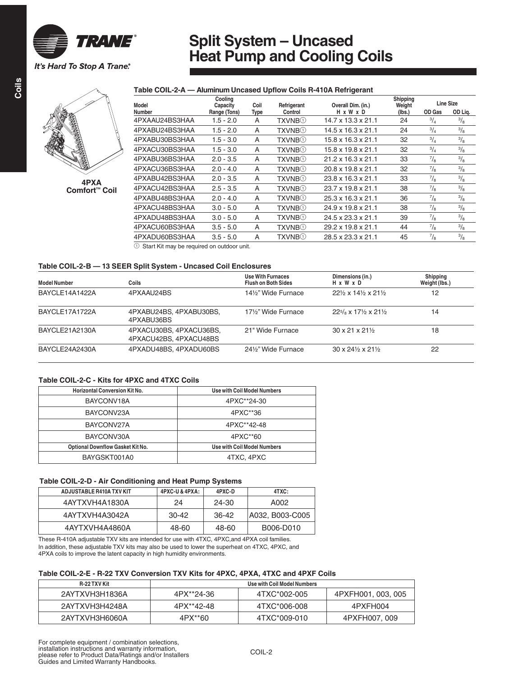

# **Split System – Uncased Heat Pump and Cooling Coils**

#### **Table COIL-2-A — Aluminum Uncased Upflow Coils R-410A Refrigerant**



**4PXA Comfort™ Coil** 

| Model          | Cooling<br>Capacity | Coil | Refrigerant                 | Overall Dim. (in.)             | Shipping<br>Weight | Line Size     |               |
|----------------|---------------------|------|-----------------------------|--------------------------------|--------------------|---------------|---------------|
| <b>Number</b>  | Range (Tons)        | Type | Control                     | H x W x D                      | (lbs.)             | OD Gas        | OD Lig.       |
| 4PXAAU24BS3HAA | $1.5 - 2.0$         | A    | <b>TXVNB</b> <sup>(1)</sup> | $14.7 \times 13.3 \times 21.1$ | 24                 | $\frac{3}{4}$ | $\frac{3}{8}$ |
| 4PXABU24BS3HAA | $1.5 - 2.0$         | A    | <b>TXVNB</b> ①              | $14.5 \times 16.3 \times 21.1$ | 24                 | $^{3}/_{4}$   | $\frac{3}{8}$ |
| 4PXABU30BS3HAA | $1.5 - 3.0$         | A    | <b>TXVNB</b> <sup>(1)</sup> | $15.8 \times 16.3 \times 21.1$ | 32                 | $\frac{3}{4}$ | $\frac{3}{8}$ |
| 4PXACU30BS3HAA | $1.5 - 3.0$         | A    | TXVNB①                      | 15.8 x 19.8 x 21.1             | 32                 | $^{3}/_{4}$   | $\frac{3}{8}$ |
| 4PXABU36BS3HAA | $2.0 - 3.5$         | A    | <b>TXVNB</b> <sup>(1)</sup> | $21.2 \times 16.3 \times 21.1$ | 33                 | $\frac{7}{8}$ | $\frac{3}{8}$ |
| 4PXACU36BS3HAA | $2.0 - 4.0$         | A    | <b>TXVNB</b> ①              | 20.8 x 19.8 x 21.1             | 32                 | $^{7}/_8$     | $\frac{3}{8}$ |
| 4PXABU42BS3HAA | $2.0 - 3.5$         | A    | <b>TXVNB</b> ①              | 23.8 x 16.3 x 21.1             | 33                 | $\frac{7}{8}$ | $\frac{3}{8}$ |
| 4PXACU42BS3HAA | $2.5 - 3.5$         | A    | <b>TXVNB</b> <sup>O</sup>   | 23.7 x 19.8 x 21.1             | 38                 | $^{7}/_8$     | $\frac{3}{8}$ |
| 4PXABU48BS3HAA | $2.0 - 4.0$         | A    | <b>TXVNB</b> <sup>(1)</sup> | 25.3 x 16.3 x 21.1             | 36                 | $^{7}/_8$     | $\frac{3}{8}$ |
| 4PXACU48BS3HAA | $3.0 - 5.0$         | A    | <b>TXVNB</b> <sup>(1)</sup> | 24.9 x 19.8 x 21.1             | 38                 | $^{7}/_8$     | $\frac{3}{8}$ |
| 4PXADU48BS3HAA | $3.0 - 5.0$         | A    | <b>TXVNB</b> <sup>O</sup>   | 24.5 x 23.3 x 21.1             | 39                 | $^{7}/_8$     | $\frac{3}{8}$ |
| 4PXACU60BS3HAA | $3.5 - 5.0$         | A    | <b>TXVNB</b> <sup>(1)</sup> | 29.2 x 19.8 x 21.1             | 44                 | $^{7}/_8$     | $\frac{3}{8}$ |
| 4PXADU60BS3HAA | $3.5 - 5.0$         | A    | TXVNB①                      | 28.5 x 23.3 x 21.1             | 45                 | $^{7}/_8$     | $\frac{3}{8}$ |
|                |                     |      |                             |                                |                    |               |               |

 $10$  Start Kit may be required on outdoor unit.

#### **Table COIL-2-B — 13 SEER Split System - Uncased Coil Enclosures**

| <b>Model Number</b> | Coils                                             | Use With Furnaces<br><b>Flush on Both Sides</b> | Dimensions (in.)<br>H x W x D                                                     | Shipping<br>Weight (lbs.) |
|---------------------|---------------------------------------------------|-------------------------------------------------|-----------------------------------------------------------------------------------|---------------------------|
| BAYCLE14A1422A      | 4PXAAU24BS                                        | 141/2" Wide Furnace                             | $22\frac{1}{2} \times 14\frac{1}{2} \times 21\frac{1}{2}$                         | 12                        |
| BAYCLE17A1722A      | 4PXABU24BS, 4PXABU30BS,<br>4PXABU36BS             | 17½" Wide Furnace                               | $22\frac{5}{8}$ x 17 <sup>1</sup> / <sub>2</sub> x 21 <sup>1</sup> / <sub>2</sub> | 14                        |
| BAYCLE21A2130A      | 4PXACU30BS, 4PXACU36BS,<br>4PXACU42BS, 4PXACU48BS | 21" Wide Furnace                                | $30 \times 21 \times 21\%$                                                        | 18                        |
| BAYCLE24A2430A      | 4PXADU48BS, 4PXADU60BS                            | 241/2" Wide Furnace                             | $30 \times 24\frac{1}{2} \times 21\frac{1}{2}$                                    | 22                        |

#### **Table COIL-2-C - Kits for 4PXC and 4TXC Coils**

| <b>Horizontal Conversion Kit No.</b>    | <b>Use with Coil Model Numbers</b> |
|-----------------------------------------|------------------------------------|
| BAYCONV18A                              | 4PXC**24-30                        |
| BAYCONV23A                              | 4PXC**36                           |
| BAYCONV27A                              | 4PXC**42-48                        |
| BAYCONV30A                              | 4PXC**60                           |
| <b>Optional Downflow Gasket Kit No.</b> | <b>Use with Coil Model Numbers</b> |
| BAYGSKT001A0                            | 4TXC, 4PXC                         |

#### **Table COIL-2-D - Air Conditioning and Heat Pump Systems**

| ADJUSTABLE R410A TXV KIT | 4PXC-U & 4PXA: | 4PXC-D | 4TXC:           |
|--------------------------|----------------|--------|-----------------|
| 4AYTXVH4A1830A           | 24             | 24-30  | A002            |
| 4AYTXVH4A3042A           | 30-42          | 36-42  | A032, B003-C005 |
| 4AYTXVH4A4860A           | 48-60          | 48-60  | B006-D010       |

These R-410A adjustable TXV kits are intended for use with 4TXC, 4PXC,and 4PXA coil families. In addition, these adjustable TXV kits may also be used to lower the superheat on 4TXC, 4PXC, and 4PXA coils to improve the latent capacity in high humidity environments.

#### **Table COIL-2-E - R-22 TXV Conversion TXV Kits for 4PXC, 4PXA, 4TXC and 4PXF Coils**

| <b>R-22 TXV Kit</b> | Use with Coil Model Numbers |              |                    |  |  |  |
|---------------------|-----------------------------|--------------|--------------------|--|--|--|
| 2AYTXVH3H1836A      | 4PX**24-36                  | 4TXC*002-005 | 4PXFH001, 003, 005 |  |  |  |
| 2AYTXVH3H4248A      | 4PX**42-48                  | 4TXC*006-008 | 4PXFH004           |  |  |  |
| 2AYTXVH3H6060A      | 4PX**60                     | 4TXC*009-010 | 4PXFH007, 009      |  |  |  |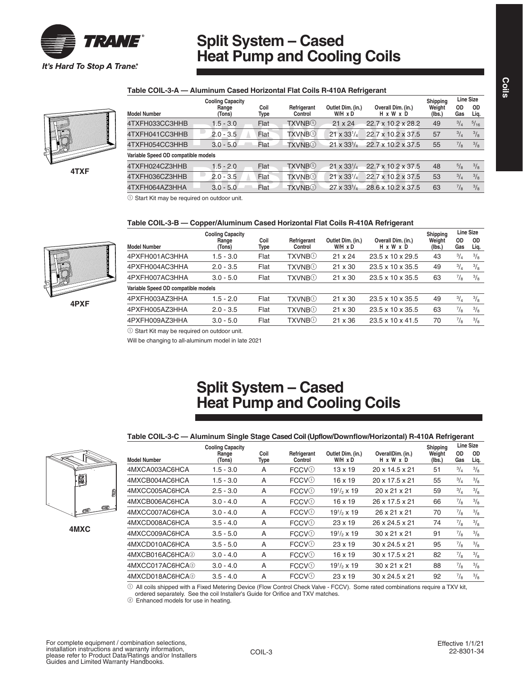

# **Split System – Cased Heat Pump and Cooling Coils**

#### **Table COIL-3-A — Aluminum Cased Horizontal Flat Coils R-410A Refrigerant**



**4TXF** 

|                                     | <b>Cooling Capacity</b> |              |                             |                              |                                 | Shipping         |             | Line Size      |
|-------------------------------------|-------------------------|--------------|-----------------------------|------------------------------|---------------------------------|------------------|-------------|----------------|
| <b>Model Number</b>                 | Range<br>(Tons)         | Coil<br>Type | Refrigerant<br>Control      | Outlet Dim. (in.)<br>W/H x D | Overall Dim. (in.)<br>H x W x D | Weight<br>(lbs.) | OD.<br>Gas  | 0D<br>Liq.     |
| 4TXFH033CC3HHB                      | $1.5 - 3.0$             | Flat         | <b>TXVNB</b> <sup>O</sup>   | $21 \times 24$               | 22.7 x 10.2 x 28.2              | 49               | $^{3}/_{4}$ | $\frac{5}{16}$ |
| 4TXFH041CC3HHB                      | $2.0 - 3.5$             | Flat         | <b>TXVNB</b> <sup>(1)</sup> | $21 \times 33^{1/4}$         | 22.7 x 10.2 x 37.5              | 57               | $^{3}/_{4}$ | $\frac{3}{8}$  |
| 4TXFH054CC3HHB                      | $3.0 - 5.0$             | Flat         | <b>TXVNB</b> <sup>(1)</sup> | $21 \times 33^{1}/_4$        | 22.7 x 10.2 x 37.5              | 55               | $^{7}/_8$   | $\frac{3}{8}$  |
| Variable Speed OD compatible models |                         |              |                             |                              |                                 |                  |             |                |
| 4TXFH024CZ3HHB                      | $1.5 - 2.0$             | Flat         | <b>TXVNB</b> <sup>(1)</sup> | $21 \times 33^{1/4}$         | 22.7 x 10.2 x 37.5              | 48               | $^{5}/_{8}$ | $\frac{3}{8}$  |
| 4TXFH036CZ3HHB                      | $2.0 - 3.5$             | Flat         | <b>TXVNB</b> <sup>(1)</sup> | $21 \times 33^{1}/4$         | 22.7 x 10.2 x 37.5              | 53               | $^{3}/_{4}$ | $\frac{3}{8}$  |
| 4TXFH064AZ3HHA                      | $3.0 - 5.0$             | Flat         | <b>TXVNB</b> <sup>(1)</sup> | $27 \times 33^{1}/_{4}$      | 28.6 x 10.2 x 37.5              | 63               | $^{7}/_8$   | $\frac{3}{8}$  |
|                                     |                         |              |                             |                              |                                 |                  |             |                |

 $0$  Start Kit may be required on outdoor unit.

#### **Table COIL-3-B — Copper/Aluminum Cased Horizontal Flat Coils R-410A Refrigerant**



|                                     | <b>Cooling Capacity</b> |              |                             |                              |                                 | Shipping         |                  | Line Size         |
|-------------------------------------|-------------------------|--------------|-----------------------------|------------------------------|---------------------------------|------------------|------------------|-------------------|
| <b>Model Number</b>                 | Range<br>(Tons)         | Coil<br>Type | Refrigerant<br>Control      | Outlet Dim. (in.)<br>W/H x D | Overall Dim. (in.)<br>H x W x D | Weight<br>(lbs.) | <b>OD</b><br>Gas | <b>OD</b><br>Liq. |
| 4PXFH001AC3HHA                      | $1.5 - 3.0$             | Flat         | <b>TXVNB</b> <sup>(1)</sup> | $21 \times 24$               | 23.5 x 10 x 29.5                | 43               | $^{3}/_{4}$      | $\frac{3}{8}$     |
| 4PXFH004AC3HHA                      | $2.0 - 3.5$             | Flat         | <b>TXVNB</b> <sup>(1)</sup> | $21 \times 30$               | 23.5 x 10 x 35.5                | 49               | $^{3}/_{4}$      | $\frac{3}{8}$     |
| 4PXFH007AC3HHA                      | $3.0 - 5.0$             | Flat         | <b>TXVNB</b> <sup>(1)</sup> | $21 \times 30$               | 23.5 x 10 x 35.5                | 63               | $^{7}/_8$        | $\frac{3}{8}$     |
| Variable Speed OD compatible models |                         |              |                             |                              |                                 |                  |                  |                   |
| 4PXFH003AZ3HHA                      | $1.5 - 2.0$             | Flat         | <b>TXVNB</b> <sup>(1)</sup> | $21 \times 30$               | 23.5 x 10 x 35.5                | 49               | $^{3}/_{4}$      | $\frac{3}{8}$     |
| 4PXFH005AZ3HHA                      | $2.0 - 3.5$             | Flat         | <b>TXVNB</b> <sup>(1)</sup> | $21 \times 30$               | 23.5 x 10 x 35.5                | 63               | $^{7}/_8$        | $\frac{3}{8}$     |
| 4PXFH009AZ3HHA                      | $3.0 - 5.0$             | Flat         | <b>TXVNB</b> <sup>(1)</sup> | $21 \times 36$               | $23.5 \times 10 \times 41.5$    | 70               | $^{7}/_8$        | $\frac{3}{8}$     |

 $0$  Start Kit may be required on outdoor unit.

Will be changing to all-aluminum model in late 2021

### **Split System – Cased Heat Pump and Cooling Coils**

#### **Table COIL-3-C — Aluminum Single Stage Cased Coil (Upflow/Downflow/Horizontal) R-410A Refrigerant**



**4MXC** 

|                     |                                            |              | $\mathbf{r}$             |                              |                                | Shipping         |               | Line Size     |
|---------------------|--------------------------------------------|--------------|--------------------------|------------------------------|--------------------------------|------------------|---------------|---------------|
| <b>Model Number</b> | <b>Cooling Capacity</b><br>Range<br>(Tons) | Coil<br>Type | Refrigerant<br>Control   | Outlet Dim. (in.)<br>W/H x D | OverallDim. (in.)<br>H x W x D | Weight<br>(lbs.) | OD<br>Gas     | OD<br>Liq.    |
| 4MXCA003AC6HCA      | $1.5 - 3.0$                                | A            | FCCV <sup>(1)</sup>      | $13 \times 19$               | 20 x 14.5 x 21                 | 51               | $\frac{3}{4}$ | $\frac{3}{8}$ |
| 4MXCB004AC6HCA      | $1.5 - 3.0$                                | A            | <b>FCCV</b> <sup>O</sup> | $16 \times 19$               | 20 x 17.5 x 21                 | 55               | $^{3}/_{4}$   | $\frac{3}{8}$ |
| 4MXCC005AC6HCA      | $2.5 - 3.0$                                | A            | <b>FCCV</b> <sup>O</sup> | $19^{1/2} \times 19$         | 20 x 21 x 21                   | 59               | $^{3/4}$      | $\frac{3}{8}$ |
| 4MXCB006AC6HCA      | $3.0 - 4.0$                                | A            | <b>FCCV</b> <sup>O</sup> | $16 \times 19$               | 26 x 17.5 x 21                 | 66               | $\frac{7}{8}$ | $\frac{3}{8}$ |
| 4MXCC007AC6HCA      | $3.0 - 4.0$                                | A            | <b>FCCV</b> <sup>O</sup> | $19^{1/2} \times 19$         | 26 x 21 x 21                   | 70               | $^{7}/_8$     | $\frac{3}{8}$ |
| 4MXCD008AC6HCA      | $3.5 - 4.0$                                | A            | FCCV <sup>(1)</sup>      | $23 \times 19$               | 26 x 24.5 x 21                 | 74               | $^{7}/_8$     | $\frac{3}{8}$ |
| 4MXCC009AC6HCA      | $3.5 - 5.0$                                | A            | <b>FCCV</b> <sup>O</sup> | $19^{1/2} \times 19$         | $30 \times 21 \times 21$       | 91               | $^{7}/_8$     | $\frac{3}{8}$ |
| 4MXCD010AC6HCA      | $3.5 - 5.0$                                | A            | <b>FCCV</b> <sup>O</sup> | $23 \times 19$               | 30 x 24.5 x 21                 | 95               | $^{7}/_8$     | $\frac{3}{8}$ |
| 4MXCB016AC6HCA2     | $3.0 - 4.0$                                | A            | FCCV <sup>(1)</sup>      | $16 \times 19$               | 30 x 17.5 x 21                 | 82               | $^{7}/_8$     | $\frac{3}{8}$ |
| 4MXCC017AC6HCA2     | $3.0 - 4.0$                                | A            | <b>FCCV</b> <sup>O</sup> | $19^{1/2} \times 19$         | $30 \times 21 \times 21$       | 88               | $^{7}/_8$     | $\frac{3}{8}$ |
| 4MXCD018AC6HCA2     | $3.5 - 4.0$                                | A            | <b>FCCV</b> <sup>O</sup> | $23 \times 19$               | 30 x 24.5 x 21                 | 92               | $^{7}/_8$     | $\frac{3}{8}$ |

 $\odot$  All coils shipped with a Fixed Metering Device (Flow Control Check Valve - FCCV). Some rated combinations require a TXV kit,

ordered separately. See the coil Installer's Guide for Orifice and TXV matches.

2 Enhanced models for use in heating.